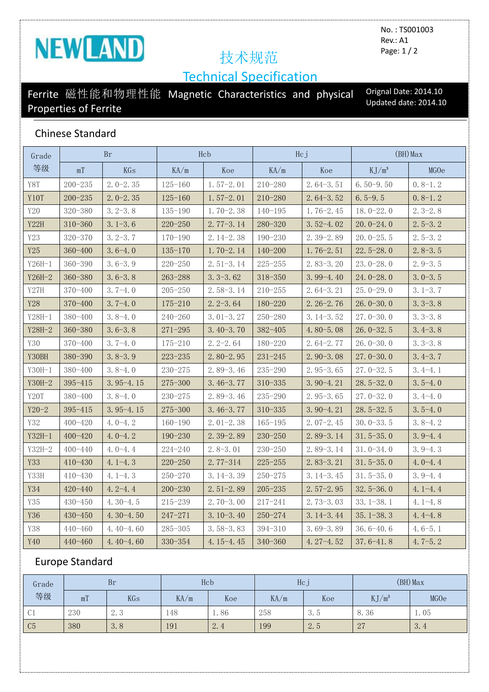# NEWLAND 技术规范

No. : TS001003 Rev.: A1 Page: 1 / 2

# Technical Specification

## Ferrite 磁性能和物理性能 Magnetic Characteristics and physical Properties of Ferrite

Orignal Date: 2014.10 Updated date: 2014.10

### Chinese Standard

| Grade            | Br          |               | Hcb         |               | Hcj         |               | $(BH)$ Max         |             |
|------------------|-------------|---------------|-------------|---------------|-------------|---------------|--------------------|-------------|
| 等级               | mT          | KGs           | KA/m        | Koe           | KA/m        | Koe           | K J/m <sup>3</sup> | MGOe        |
| Y8T              | $200 - 235$ | $2.0 - 2.35$  | $125 - 160$ | $1.57-2.01$   | $210 - 280$ | $2.64-3.51$   | $6.50 - 9.50$      | $0.8-1.2$   |
| Y10T             | $200 - 235$ | $2.0 - 2.35$  | $125 - 160$ | $1.57-2.01$   | $210 - 280$ | $2.64 - 3.52$ | $6.5 - 9.5$        | $0.8-1.2$   |
| Y20              | $320 - 380$ | $3.2 - 3.8$   | 135-190     | $1.70 - 2.38$ | $140 - 195$ | $1.76 - 2.45$ | $18.0 - 22.0$      | $2.3 - 2.8$ |
| Y22H             | $310 - 360$ | $3.1 - 3.6$   | $220 - 250$ | $2.77 - 3.14$ | $280 - 320$ | $3.52 - 4.02$ | $20.0 - 24.0$      | $2.5 - 3.2$ |
| Y23              | 320-370     | $3.2 - 3.7$   | $170 - 190$ | 2.14-2.38     | $190 - 230$ | $2.39 - 2.89$ | $20.0 - 25.5$      | $2.5 - 3.2$ |
| Y25              | $360 - 400$ | $3.6 - 4.0$   | $135 - 170$ | $1.70 - 2.14$ | $140 - 200$ | $1.76 - 2.51$ | $22.5 - 28.0$      | $2.8 - 3.5$ |
| $Y26H-1$         | $360 - 390$ | $3.6 - 3.9$   | $220 - 250$ | $2.51 - 3.14$ | $225 - 255$ | $2.83 - 3.20$ | $23.0 - 28.0$      | $2.9 - 3.5$ |
| $Y26H-2$         | $360 - 380$ | $3.6 - 3.8$   | $263 - 288$ | $3.3 - 3.62$  | $318 - 350$ | $3.99 - 4.40$ | $24.0 - 28.0$      | $3.0 - 3.5$ |
| Y27H             | 370-400     | $3.7 - 4.0$   | $205 - 250$ | $2.58 - 3.14$ | $210 - 255$ | $2.64-3.21$   | $25.0 - 29.0$      | $3.1 - 3.7$ |
| Y28              | 370-400     | $3.7 - 4.0$   | 175-210     | $2.2 - 3.64$  | 180-220     | $2.26 - 2.76$ | $26.0 - 30.0$      | $3.3 - 3.8$ |
| $Y28H-1$         | $380 - 400$ | $3.8 - 4.0$   | $240 - 260$ | $3.01 - 3.27$ | $250 - 280$ | $3.14 - 3.52$ | $27.0 - 30.0$      | $3.3 - 3.8$ |
| $Y28H-2$         | $360 - 380$ | $3.6 - 3.8$   | $271 - 295$ | $3.40 - 3.70$ | $382 - 405$ | $4.80 - 5.08$ | $26.0 - 32.5$      | $3.4 - 3.8$ |
| Y30              | 370-400     | $3.7 - 4.0$   | 175-210     | $2.2 - 2.64$  | 180-220     | $2.64 - 2.77$ | $26.0 - 30.0$      | $3.3 - 3.8$ |
| Y30BH            | 380-390     | $3.8 - 3.9$   | $223 - 235$ | $2.80 - 2.95$ | $231 - 245$ | $2.90 - 3.08$ | $27.0 - 30.0$      | $3.4 - 3.7$ |
| $Y30H-1$         | $380 - 400$ | $3.8 - 4.0$   | $230 - 275$ | $2.89 - 3.46$ | 235-290     | $2.95 - 3.65$ | $27.0 - 32.5$      | $3.4 - 4.1$ |
| Y30H-2           | 395-415     | $3.95 - 4.15$ | 275-300     | $3.46 - 3.77$ | $310 - 335$ | $3.90 - 4.21$ | $28.5 - 32.0$      | $3.5 - 4.0$ |
| Y <sub>20T</sub> | $380 - 400$ | $3.8 - 4.0$   | $230 - 275$ | $2.89 - 3.46$ | $235 - 290$ | $2.95 - 3.65$ | $27.0 - 32.0$      | $3.4 - 4.0$ |
| $Y20 - 2$        | 395-415     | $3.95 - 4.15$ | 275-300     | $3.46 - 3.77$ | $310 - 335$ | $3.90 - 4.21$ | $28.5 - 32.5$      | $3.5 - 4.0$ |
| Y32              | $400 - 420$ | $4.0 - 4.2$   | $160 - 190$ | $2.01-2.38$   | $165 - 195$ | $2.07 - 2.45$ | $30.0 - 33.5$      | $3.8 - 4.2$ |
| $Y32H-1$         | $400 - 420$ | $4.0 - 4.2$   | 190-230     | $2.39 - 2.89$ | $230 - 250$ | $2.89 - 3.14$ | $31.5 - 35.0$      | $3.9 - 4.4$ |
| Y32H-2           | $400 - 440$ | $4.0 - 4.4$   | 224-240     | $2.8 - 3.01$  | $230 - 250$ | $2.89 - 3.14$ | $31.0 - 34.0$      | $3.9 - 4.3$ |
| Y33              | $410 - 430$ | $4.1 - 4.3$   | $220 - 250$ | $2.77 - 314$  | $225 - 255$ | $2.83 - 3.21$ | $31.5 - 35.0$      | $4.0 - 4.4$ |
| Y33H             | $410 - 430$ | $4.1 - 4.3$   | 250-270     | $3.14 - 3.39$ | $250 - 275$ | $3.14 - 3.45$ | $31.5 - 35.0$      | $3.9 - 4.4$ |
| Y34              | $420 - 440$ | $4.2 - 4.4$   | $200 - 230$ | $2.51 - 2.89$ | $205 - 235$ | $2.57 - 2.95$ | $32.5 - 36.0$      | $4.1 - 4.4$ |
| Y35              | 430-450     | $4.30 - 4.5$  | $215 - 239$ | $2.70 - 3.00$ | 217-241     | $2.73 - 3.03$ | $33.1 - 38.1$      | $4.1 - 4.8$ |
| Y36              | $430 - 450$ | $4.30 - 4.50$ | $247 - 271$ | $3.10 - 3.40$ | $250 - 274$ | $3.14 - 3.44$ | $35.1 - 38.3$      | $4.4 - 4.8$ |
| Y38              | 440-460     | $4.40 - 4.60$ | $285 - 305$ | $3.58 - 3.83$ | 394-310     | $3.69 - 3.89$ | $36.6 - 40.6$      | $4.6 - 5.1$ |
| Y40              | $440 - 460$ | $4.40 - 4.60$ | 330-354     | $4.15 - 4.45$ | $340 - 360$ | $4.27 - 4.52$ | $37.6 - 41.8$      | $4.7 - 5.2$ |

### Europe Standard

| Grade<br>等级       | <b>Br</b> |                          | Hcb <sup>1</sup> |      | Hcj  |     | $(BH)$ Max   |      |
|-------------------|-----------|--------------------------|------------------|------|------|-----|--------------|------|
|                   | mT        | KGs                      | KA/m             | Koe  | KA/m | Koe | $KJ/m^3$     | MGOe |
| $\bigcap$ 1<br>UI | 230       | $\Omega$<br>$\Delta$ . J | 148              | 1.86 | 258  | 3.5 | 8.36         | 1.05 |
| C <sub>5</sub>    | 380       | 3.8                      | 191              | 2.4  | 199  | 2.5 | 07<br>$\sim$ | 3.4  |